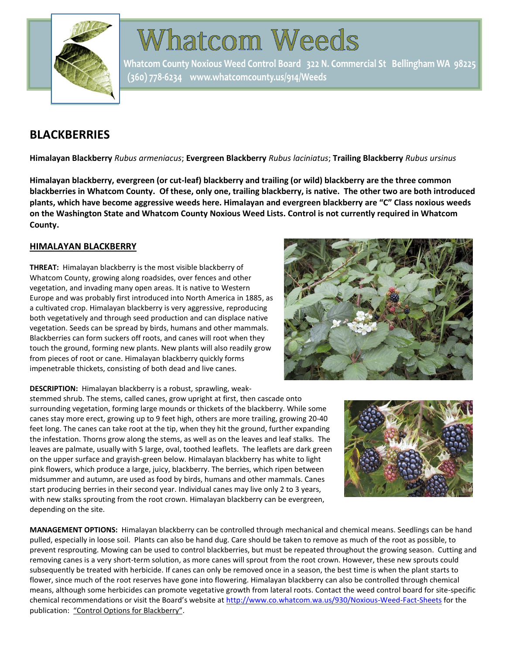

# **Whatcom Weeds**

Whatcom County Noxious Weed Control Board 322 N. Commercial St Bellingham WA 98225 (360) 778-6234 www.whatcomcounty.us/914/Weeds

# **BLACKBERRIES**

**Himalayan Blackberry** *Rubus armeniacus*; **Evergreen Blackberry** *Rubus laciniatus*; **Trailing Blackberry** *Rubus ursinus*

**Himalayan blackberry, evergreen (or cut-leaf) blackberry and trailing (or wild) blackberry are the three common blackberries in Whatcom County. Of these, only one, trailing blackberry, is native. The other two are both introduced plants, which have become aggressive weeds here. Himalayan and evergreen blackberry are "C" Class noxious weeds on the Washington State and Whatcom County Noxious Weed Lists. Control is not currently required in Whatcom County.**

#### **HIMALAYAN BLACKBERRY**

**THREAT:** Himalayan blackberry is the most visible blackberry of Whatcom County, growing along roadsides, over fences and other vegetation, and invading many open areas. It is native to Western Europe and was probably first introduced into North America in 1885, as a cultivated crop. Himalayan blackberry is very aggressive, reproducing both vegetatively and through seed production and can displace native vegetation. Seeds can be spread by birds, humans and other mammals. Blackberries can form suckers off roots, and canes will root when they touch the ground, forming new plants. New plants will also readily grow from pieces of root or cane. Himalayan blackberry quickly forms impenetrable thickets, consisting of both dead and live canes.



**DESCRIPTION:** Himalayan blackberry is a robust, sprawling, weak-

stemmed shrub. The stems, called canes, grow upright at first, then cascade onto surrounding vegetation, forming large mounds or thickets of the blackberry. While some canes stay more erect, growing up to 9 feet high, others are more trailing, growing 20-40 feet long. The canes can take root at the tip, when they hit the ground, further expanding the infestation. Thorns grow along the stems, as well as on the leaves and leaf stalks. The leaves are palmate, usually with 5 large, oval, toothed leaflets. The leaflets are dark green on the upper surface and grayish-green below. Himalayan blackberry has white to light pink flowers, which produce a large, juicy, blackberry. The berries, which ripen between midsummer and autumn, are used as food by birds, humans and other mammals. Canes start producing berries in their second year. Individual canes may live only 2 to 3 years, with new stalks sprouting from the root crown. Himalayan blackberry can be evergreen, depending on the site.



**MANAGEMENT OPTIONS:** Himalayan blackberry can be controlled through mechanical and chemical means. Seedlings can be hand pulled, especially in loose soil. Plants can also be hand dug. Care should be taken to remove as much of the root as possible, to prevent resprouting. Mowing can be used to control blackberries, but must be repeated throughout the growing season. Cutting and removing canes is a very short-term solution, as more canes will sprout from the root crown. However, these new sprouts could subsequently be treated with herbicide. If canes can only be removed once in a season, the best time is when the plant starts to flower, since much of the root reserves have gone into flowering. Himalayan blackberry can also be controlled through chemical means, although some herbicides can promote vegetative growth from lateral roots. Contact the weed control board for site-specific chemical recommendations or visit the Board's website at<http://www.co.whatcom.wa.us/930/Noxious-Weed-Fact-Sheets> for the publication: "Control Options for Blackberry".